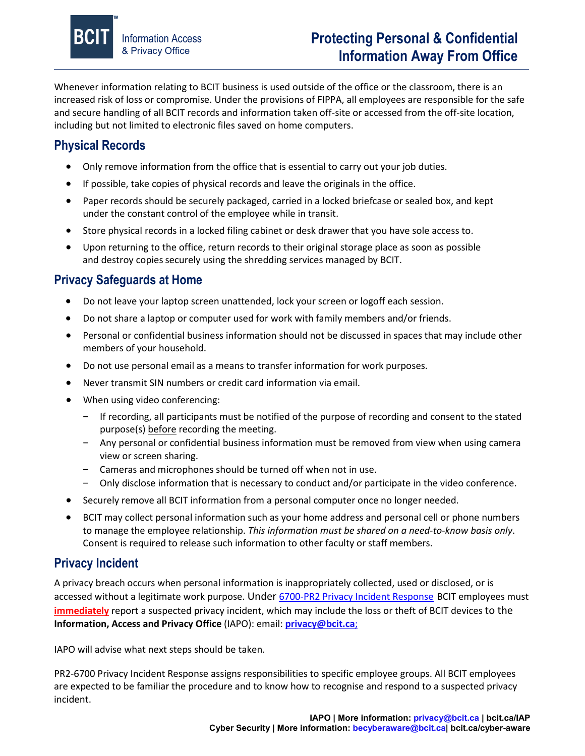

Whenever information relating to BCIT business is used outside of the office or the classroom, there is an increased risk of loss or compromise. Under the provisions of FIPPA, all employees are responsible for the safe and secure handling of all BCIT records and information taken off-site or accessed from the off-site location, including but not limited to electronic files saved on home computers.

# **Physical Records**

- Only remove information from the office that is essential to carry out your job duties.
- If possible, take copies of physical records and leave the originals in the office.
- Paper records should be securely packaged, carried in a locked briefcase or sealed box, and kept under the constant control of the employee while in transit.
- Store physical records in a locked filing cabinet or desk drawer that you have sole access to.
- Upon returning to the office, return records to their original storage place as soon as possible and destroy copies securely using the shredding services managed by BCIT.

## **Privacy Safeguards at Home**

- Do not leave your laptop screen unattended, lock your screen or logoff each session.
- Do not share a laptop or computer used for work with family members and/or friends.
- Personal or confidential business information should not be discussed in spaces that may include other members of your household.
- Do not use personal email as a means to transfer information for work purposes.
- Never transmit SIN numbers or credit card information via email.
- When using video conferencing:
	- − If recording, all participants must be notified of the purpose of recording and consent to the stated purpose(s) before recording the meeting.
	- − Any personal or confidential business information must be removed from view when using camera view or screen sharing.
	- − Cameras and microphones should be turned off when not in use.
	- − Only disclose information that is necessary to conduct and/or participate in the video conference.
- Securely remove all BCIT information from a personal computer once no longer needed.
- BCIT may collect personal information such as your home address and personal cell or phone numbers to manage the employee relationship. *This information must be shared on a need-to-know basis only*. Consent is required to release such information to other faculty or staff members.

### **Privacy Incident**

A privacy breach occurs when personal information is inappropriately collected, used or disclosed, or is accessed without a legitimate work purpose. Under 6700-PR2 [Privacy Incident Response](https://www.bcit.ca/files/pdf/policies/6700-pr2.pdf) BCIT employees must **immediately** report a suspected privacy incident, which may include the loss or theft of BCIT devices to the **Information, Access and Privacy Office** (IAPO): email: **[privacy@bcit.ca](mailto:privacy@bcit.ca)**;

IAPO will advise what next steps should be taken.

PR2-6700 Privacy Incident Response assigns responsibilities to specific employee groups. All BCIT employees are expected to be familiar the procedure and to know how to recognise and respond to a suspected privacy incident.